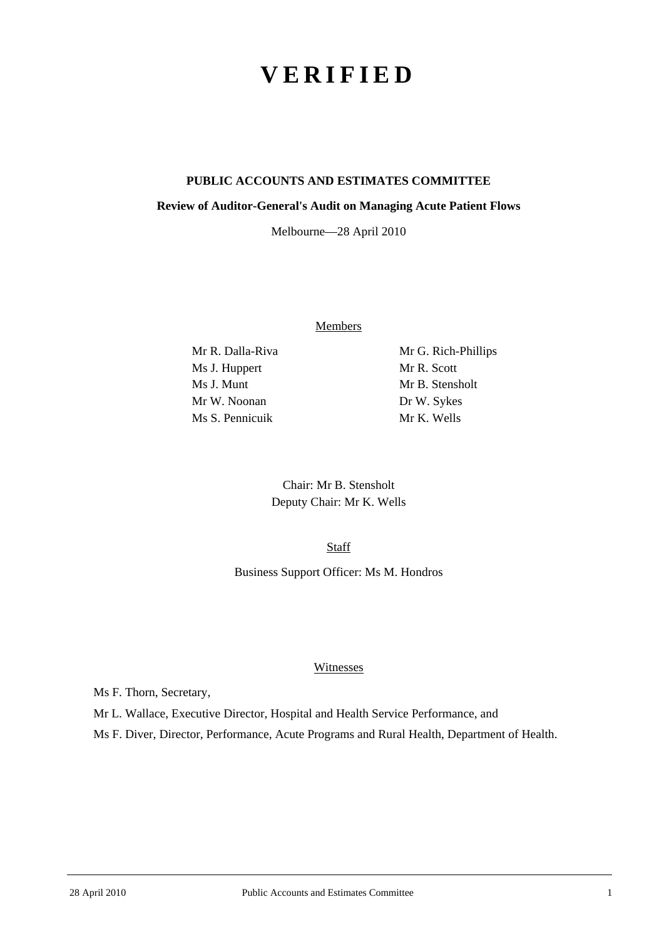# **VERIFIED**

## **PUBLIC ACCOUNTS AND ESTIMATES COMMITTEE**

### **Review of Auditor-General's Audit on Managing Acute Patient Flows**

Melbourne—28 April 2010

**Members** 

Ms J. Huppert Mr R. Scott Ms J. Munt Mr B. Stensholt Mr W. Noonan Dr W. Sykes Ms S. Pennicuik Mr K. Wells

Mr R. Dalla-Riva Mr G. Rich-Phillips

Chair: Mr B. Stensholt Deputy Chair: Mr K. Wells

Staff

Business Support Officer: Ms M. Hondros

### Witnesses

Ms F. Thorn, Secretary,

Mr L. Wallace, Executive Director, Hospital and Health Service Performance, and

Ms F. Diver, Director, Performance, Acute Programs and Rural Health, Department of Health.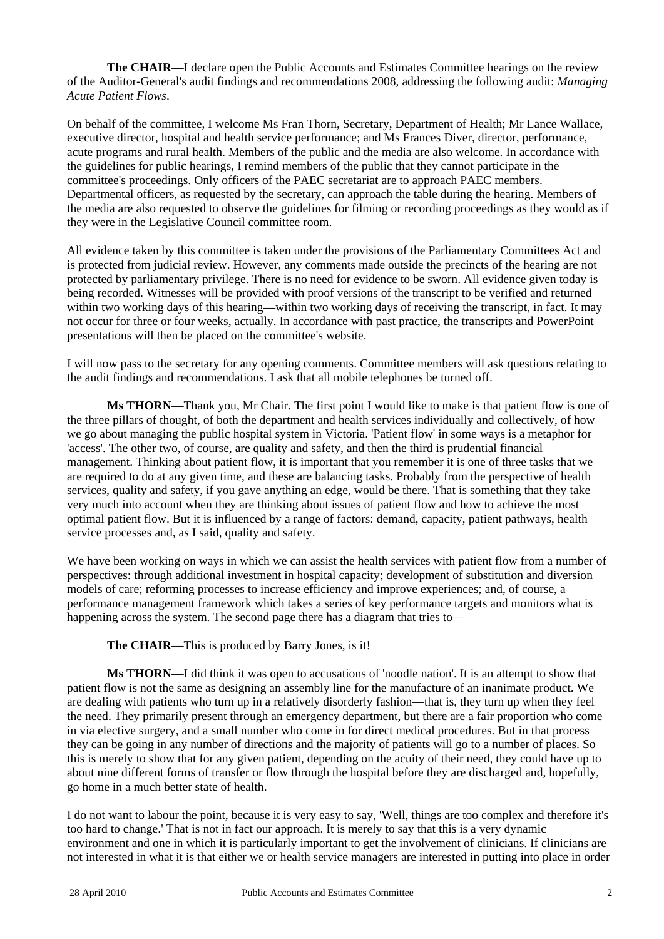**The CHAIR**—I declare open the Public Accounts and Estimates Committee hearings on the review of the Auditor-General's audit findings and recommendations 2008, addressing the following audit: *Managing Acute Patient Flows*.

On behalf of the committee, I welcome Ms Fran Thorn, Secretary, Department of Health; Mr Lance Wallace, executive director, hospital and health service performance; and Ms Frances Diver, director, performance, acute programs and rural health. Members of the public and the media are also welcome. In accordance with the guidelines for public hearings, I remind members of the public that they cannot participate in the committee's proceedings. Only officers of the PAEC secretariat are to approach PAEC members. Departmental officers, as requested by the secretary, can approach the table during the hearing. Members of the media are also requested to observe the guidelines for filming or recording proceedings as they would as if they were in the Legislative Council committee room.

All evidence taken by this committee is taken under the provisions of the Parliamentary Committees Act and is protected from judicial review. However, any comments made outside the precincts of the hearing are not protected by parliamentary privilege. There is no need for evidence to be sworn. All evidence given today is being recorded. Witnesses will be provided with proof versions of the transcript to be verified and returned within two working days of this hearing—within two working days of receiving the transcript, in fact. It may not occur for three or four weeks, actually. In accordance with past practice, the transcripts and PowerPoint presentations will then be placed on the committee's website.

I will now pass to the secretary for any opening comments. Committee members will ask questions relating to the audit findings and recommendations. I ask that all mobile telephones be turned off.

**Ms THORN**—Thank you, Mr Chair. The first point I would like to make is that patient flow is one of the three pillars of thought, of both the department and health services individually and collectively, of how we go about managing the public hospital system in Victoria. 'Patient flow' in some ways is a metaphor for 'access'. The other two, of course, are quality and safety, and then the third is prudential financial management. Thinking about patient flow, it is important that you remember it is one of three tasks that we are required to do at any given time, and these are balancing tasks. Probably from the perspective of health services, quality and safety, if you gave anything an edge, would be there. That is something that they take very much into account when they are thinking about issues of patient flow and how to achieve the most optimal patient flow. But it is influenced by a range of factors: demand, capacity, patient pathways, health service processes and, as I said, quality and safety.

We have been working on ways in which we can assist the health services with patient flow from a number of perspectives: through additional investment in hospital capacity; development of substitution and diversion models of care; reforming processes to increase efficiency and improve experiences; and, of course, a performance management framework which takes a series of key performance targets and monitors what is happening across the system. The second page there has a diagram that tries to—

**The CHAIR**—This is produced by Barry Jones, is it!

**Ms THORN**—I did think it was open to accusations of 'noodle nation'. It is an attempt to show that patient flow is not the same as designing an assembly line for the manufacture of an inanimate product. We are dealing with patients who turn up in a relatively disorderly fashion—that is, they turn up when they feel the need. They primarily present through an emergency department, but there are a fair proportion who come in via elective surgery, and a small number who come in for direct medical procedures. But in that process they can be going in any number of directions and the majority of patients will go to a number of places. So this is merely to show that for any given patient, depending on the acuity of their need, they could have up to about nine different forms of transfer or flow through the hospital before they are discharged and, hopefully, go home in a much better state of health.

l I do not want to labour the point, because it is very easy to say, 'Well, things are too complex and therefore it's too hard to change.' That is not in fact our approach. It is merely to say that this is a very dynamic environment and one in which it is particularly important to get the involvement of clinicians. If clinicians are not interested in what it is that either we or health service managers are interested in putting into place in order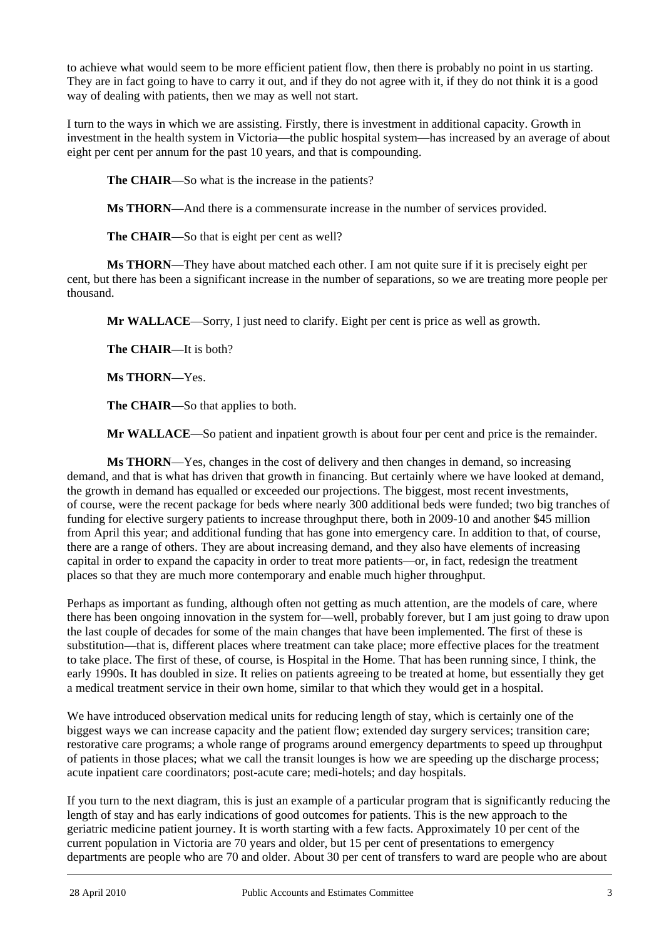to achieve what would seem to be more efficient patient flow, then there is probably no point in us starting. They are in fact going to have to carry it out, and if they do not agree with it, if they do not think it is a good way of dealing with patients, then we may as well not start.

I turn to the ways in which we are assisting. Firstly, there is investment in additional capacity. Growth in investment in the health system in Victoria—the public hospital system—has increased by an average of about eight per cent per annum for the past 10 years, and that is compounding.

**The CHAIR—So** what is the increase in the patients?

**Ms THORN**—And there is a commensurate increase in the number of services provided.

**The CHAIR**—So that is eight per cent as well?

**Ms THORN**—They have about matched each other. I am not quite sure if it is precisely eight per cent, but there has been a significant increase in the number of separations, so we are treating more people per thousand.

**Mr WALLACE**—Sorry, I just need to clarify. Eight per cent is price as well as growth.

**The CHAIR**—It is both?

**Ms THORN**—Yes.

**The CHAIR**—So that applies to both.

**Mr WALLACE**—So patient and inpatient growth is about four per cent and price is the remainder.

**Ms THORN**—Yes, changes in the cost of delivery and then changes in demand, so increasing demand, and that is what has driven that growth in financing. But certainly where we have looked at demand, the growth in demand has equalled or exceeded our projections. The biggest, most recent investments, of course, were the recent package for beds where nearly 300 additional beds were funded; two big tranches of funding for elective surgery patients to increase throughput there, both in 2009-10 and another \$45 million from April this year; and additional funding that has gone into emergency care. In addition to that, of course, there are a range of others. They are about increasing demand, and they also have elements of increasing capital in order to expand the capacity in order to treat more patients—or, in fact, redesign the treatment places so that they are much more contemporary and enable much higher throughput.

Perhaps as important as funding, although often not getting as much attention, are the models of care, where there has been ongoing innovation in the system for—well, probably forever, but I am just going to draw upon the last couple of decades for some of the main changes that have been implemented. The first of these is substitution—that is, different places where treatment can take place; more effective places for the treatment to take place. The first of these, of course, is Hospital in the Home. That has been running since, I think, the early 1990s. It has doubled in size. It relies on patients agreeing to be treated at home, but essentially they get a medical treatment service in their own home, similar to that which they would get in a hospital.

We have introduced observation medical units for reducing length of stay, which is certainly one of the biggest ways we can increase capacity and the patient flow; extended day surgery services; transition care; restorative care programs; a whole range of programs around emergency departments to speed up throughput of patients in those places; what we call the transit lounges is how we are speeding up the discharge process; acute inpatient care coordinators; post-acute care; medi-hotels; and day hospitals.

l If you turn to the next diagram, this is just an example of a particular program that is significantly reducing the length of stay and has early indications of good outcomes for patients. This is the new approach to the geriatric medicine patient journey. It is worth starting with a few facts. Approximately 10 per cent of the current population in Victoria are 70 years and older, but 15 per cent of presentations to emergency departments are people who are 70 and older. About 30 per cent of transfers to ward are people who are about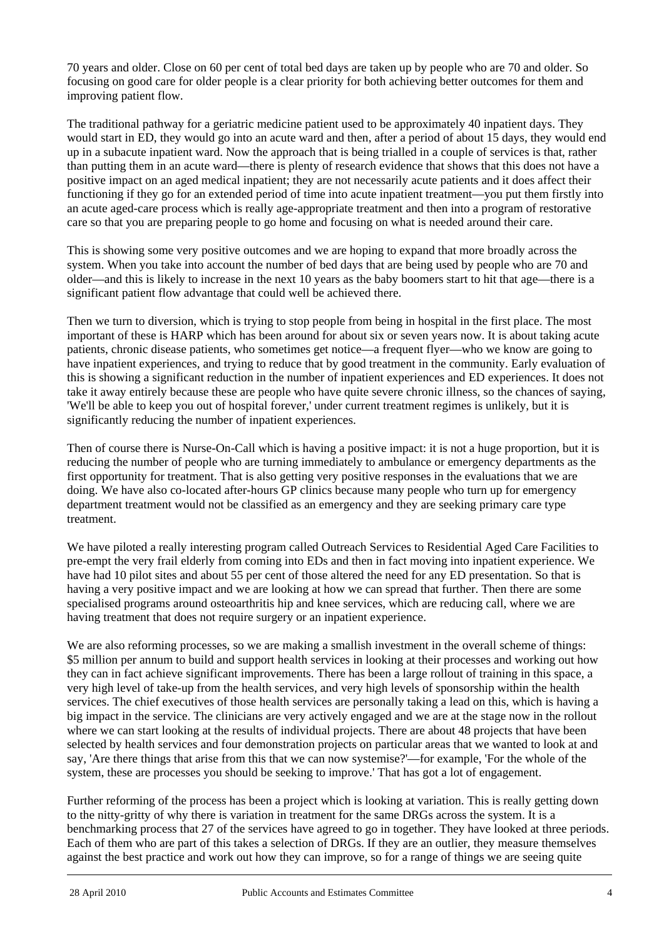70 years and older. Close on 60 per cent of total bed days are taken up by people who are 70 and older. So focusing on good care for older people is a clear priority for both achieving better outcomes for them and improving patient flow.

The traditional pathway for a geriatric medicine patient used to be approximately 40 inpatient days. They would start in ED, they would go into an acute ward and then, after a period of about 15 days, they would end up in a subacute inpatient ward. Now the approach that is being trialled in a couple of services is that, rather than putting them in an acute ward—there is plenty of research evidence that shows that this does not have a positive impact on an aged medical inpatient; they are not necessarily acute patients and it does affect their functioning if they go for an extended period of time into acute inpatient treatment—you put them firstly into an acute aged-care process which is really age-appropriate treatment and then into a program of restorative care so that you are preparing people to go home and focusing on what is needed around their care.

This is showing some very positive outcomes and we are hoping to expand that more broadly across the system. When you take into account the number of bed days that are being used by people who are 70 and older—and this is likely to increase in the next 10 years as the baby boomers start to hit that age—there is a significant patient flow advantage that could well be achieved there.

Then we turn to diversion, which is trying to stop people from being in hospital in the first place. The most important of these is HARP which has been around for about six or seven years now. It is about taking acute patients, chronic disease patients, who sometimes get notice—a frequent flyer—who we know are going to have inpatient experiences, and trying to reduce that by good treatment in the community. Early evaluation of this is showing a significant reduction in the number of inpatient experiences and ED experiences. It does not take it away entirely because these are people who have quite severe chronic illness, so the chances of saying, 'We'll be able to keep you out of hospital forever,' under current treatment regimes is unlikely, but it is significantly reducing the number of inpatient experiences.

Then of course there is Nurse-On-Call which is having a positive impact: it is not a huge proportion, but it is reducing the number of people who are turning immediately to ambulance or emergency departments as the first opportunity for treatment. That is also getting very positive responses in the evaluations that we are doing. We have also co-located after-hours GP clinics because many people who turn up for emergency department treatment would not be classified as an emergency and they are seeking primary care type treatment.

We have piloted a really interesting program called Outreach Services to Residential Aged Care Facilities to pre-empt the very frail elderly from coming into EDs and then in fact moving into inpatient experience. We have had 10 pilot sites and about 55 per cent of those altered the need for any ED presentation. So that is having a very positive impact and we are looking at how we can spread that further. Then there are some specialised programs around osteoarthritis hip and knee services, which are reducing call, where we are having treatment that does not require surgery or an inpatient experience.

We are also reforming processes, so we are making a smallish investment in the overall scheme of things: \$5 million per annum to build and support health services in looking at their processes and working out how they can in fact achieve significant improvements. There has been a large rollout of training in this space, a very high level of take-up from the health services, and very high levels of sponsorship within the health services. The chief executives of those health services are personally taking a lead on this, which is having a big impact in the service. The clinicians are very actively engaged and we are at the stage now in the rollout where we can start looking at the results of individual projects. There are about 48 projects that have been selected by health services and four demonstration projects on particular areas that we wanted to look at and say, 'Are there things that arise from this that we can now systemise?'—for example, 'For the whole of the system, these are processes you should be seeking to improve.' That has got a lot of engagement.

l Further reforming of the process has been a project which is looking at variation. This is really getting down to the nitty-gritty of why there is variation in treatment for the same DRGs across the system. It is a benchmarking process that 27 of the services have agreed to go in together. They have looked at three periods. Each of them who are part of this takes a selection of DRGs. If they are an outlier, they measure themselves against the best practice and work out how they can improve, so for a range of things we are seeing quite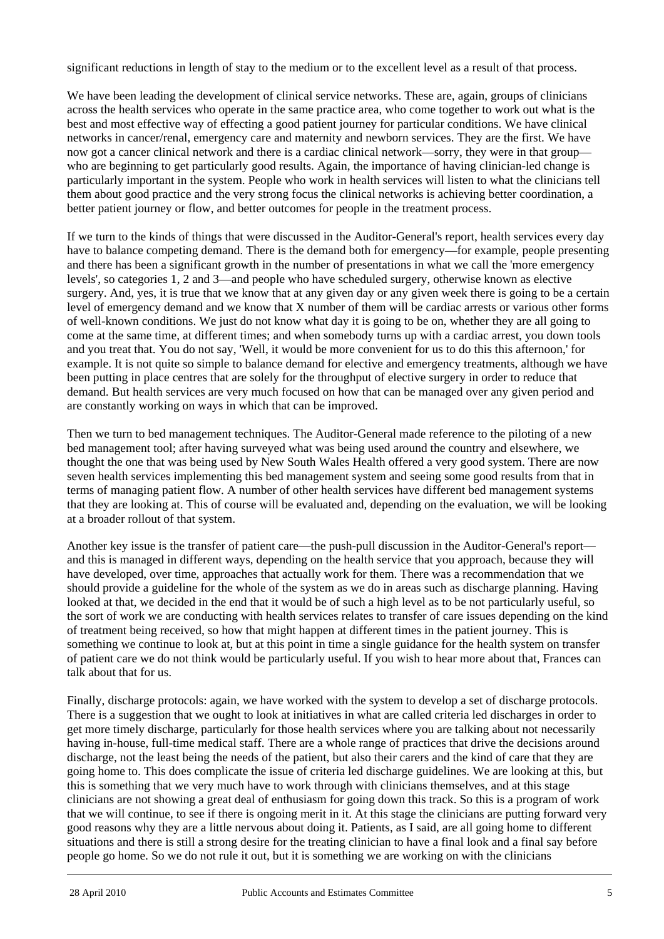significant reductions in length of stay to the medium or to the excellent level as a result of that process.

We have been leading the development of clinical service networks. These are, again, groups of clinicians across the health services who operate in the same practice area, who come together to work out what is the best and most effective way of effecting a good patient journey for particular conditions. We have clinical networks in cancer/renal, emergency care and maternity and newborn services. They are the first. We have now got a cancer clinical network and there is a cardiac clinical network—sorry, they were in that group who are beginning to get particularly good results. Again, the importance of having clinician-led change is particularly important in the system. People who work in health services will listen to what the clinicians tell them about good practice and the very strong focus the clinical networks is achieving better coordination, a better patient journey or flow, and better outcomes for people in the treatment process.

If we turn to the kinds of things that were discussed in the Auditor-General's report, health services every day have to balance competing demand. There is the demand both for emergency—for example, people presenting and there has been a significant growth in the number of presentations in what we call the 'more emergency levels', so categories 1, 2 and 3—and people who have scheduled surgery, otherwise known as elective surgery. And, yes, it is true that we know that at any given day or any given week there is going to be a certain level of emergency demand and we know that X number of them will be cardiac arrests or various other forms of well-known conditions. We just do not know what day it is going to be on, whether they are all going to come at the same time, at different times; and when somebody turns up with a cardiac arrest, you down tools and you treat that. You do not say, 'Well, it would be more convenient for us to do this this afternoon,' for example. It is not quite so simple to balance demand for elective and emergency treatments, although we have been putting in place centres that are solely for the throughput of elective surgery in order to reduce that demand. But health services are very much focused on how that can be managed over any given period and are constantly working on ways in which that can be improved.

Then we turn to bed management techniques. The Auditor-General made reference to the piloting of a new bed management tool; after having surveyed what was being used around the country and elsewhere, we thought the one that was being used by New South Wales Health offered a very good system. There are now seven health services implementing this bed management system and seeing some good results from that in terms of managing patient flow. A number of other health services have different bed management systems that they are looking at. This of course will be evaluated and, depending on the evaluation, we will be looking at a broader rollout of that system.

Another key issue is the transfer of patient care—the push-pull discussion in the Auditor-General's report and this is managed in different ways, depending on the health service that you approach, because they will have developed, over time, approaches that actually work for them. There was a recommendation that we should provide a guideline for the whole of the system as we do in areas such as discharge planning. Having looked at that, we decided in the end that it would be of such a high level as to be not particularly useful, so the sort of work we are conducting with health services relates to transfer of care issues depending on the kind of treatment being received, so how that might happen at different times in the patient journey. This is something we continue to look at, but at this point in time a single guidance for the health system on transfer of patient care we do not think would be particularly useful. If you wish to hear more about that, Frances can talk about that for us.

l Finally, discharge protocols: again, we have worked with the system to develop a set of discharge protocols. There is a suggestion that we ought to look at initiatives in what are called criteria led discharges in order to get more timely discharge, particularly for those health services where you are talking about not necessarily having in-house, full-time medical staff. There are a whole range of practices that drive the decisions around discharge, not the least being the needs of the patient, but also their carers and the kind of care that they are going home to. This does complicate the issue of criteria led discharge guidelines. We are looking at this, but this is something that we very much have to work through with clinicians themselves, and at this stage clinicians are not showing a great deal of enthusiasm for going down this track. So this is a program of work that we will continue, to see if there is ongoing merit in it. At this stage the clinicians are putting forward very good reasons why they are a little nervous about doing it. Patients, as I said, are all going home to different situations and there is still a strong desire for the treating clinician to have a final look and a final say before people go home. So we do not rule it out, but it is something we are working on with the clinicians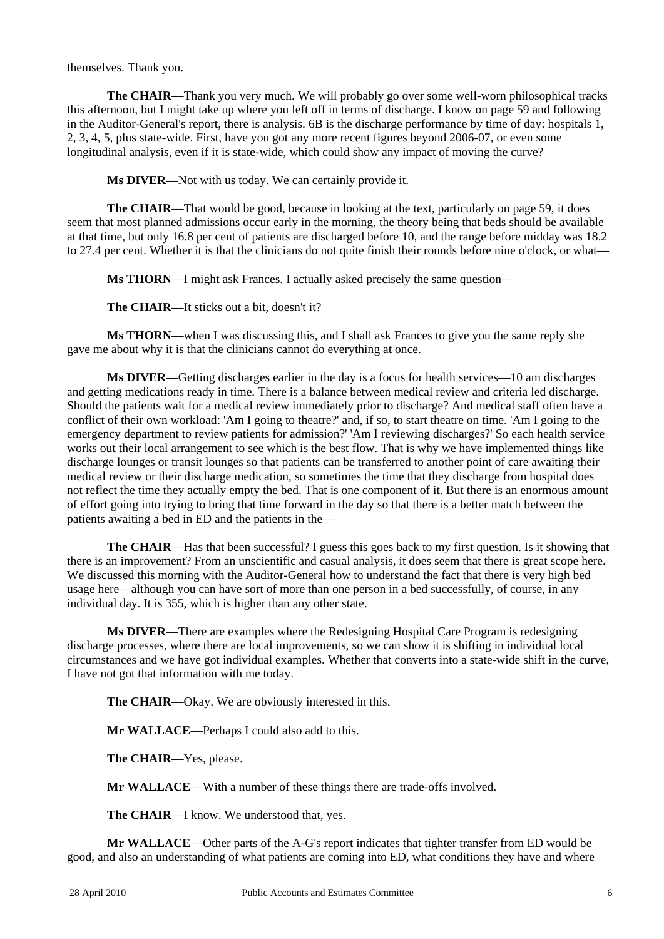themselves. Thank you.

**The CHAIR**—Thank you very much. We will probably go over some well-worn philosophical tracks this afternoon, but I might take up where you left off in terms of discharge. I know on page 59 and following in the Auditor-General's report, there is analysis. 6B is the discharge performance by time of day: hospitals 1, 2, 3, 4, 5, plus state-wide. First, have you got any more recent figures beyond 2006-07, or even some longitudinal analysis, even if it is state-wide, which could show any impact of moving the curve?

**Ms DIVER**—Not with us today. We can certainly provide it.

**The CHAIR**—That would be good, because in looking at the text, particularly on page 59, it does seem that most planned admissions occur early in the morning, the theory being that beds should be available at that time, but only 16.8 per cent of patients are discharged before 10, and the range before midday was 18.2 to 27.4 per cent. Whether it is that the clinicians do not quite finish their rounds before nine o'clock, or what—

**Ms THORN—I** might ask Frances. I actually asked precisely the same question—

**The CHAIR**—It sticks out a bit, doesn't it?

**Ms THORN**—when I was discussing this, and I shall ask Frances to give you the same reply she gave me about why it is that the clinicians cannot do everything at once.

**Ms DIVER**—Getting discharges earlier in the day is a focus for health services—10 am discharges and getting medications ready in time. There is a balance between medical review and criteria led discharge. Should the patients wait for a medical review immediately prior to discharge? And medical staff often have a conflict of their own workload: 'Am I going to theatre?' and, if so, to start theatre on time. 'Am I going to the emergency department to review patients for admission?' 'Am I reviewing discharges?' So each health service works out their local arrangement to see which is the best flow. That is why we have implemented things like discharge lounges or transit lounges so that patients can be transferred to another point of care awaiting their medical review or their discharge medication, so sometimes the time that they discharge from hospital does not reflect the time they actually empty the bed. That is one component of it. But there is an enormous amount of effort going into trying to bring that time forward in the day so that there is a better match between the patients awaiting a bed in ED and the patients in the—

**The CHAIR—Has that been successful?** I guess this goes back to my first question. Is it showing that there is an improvement? From an unscientific and casual analysis, it does seem that there is great scope here. We discussed this morning with the Auditor-General how to understand the fact that there is very high bed usage here—although you can have sort of more than one person in a bed successfully, of course, in any individual day. It is 355, which is higher than any other state.

**Ms DIVER**—There are examples where the Redesigning Hospital Care Program is redesigning discharge processes, where there are local improvements, so we can show it is shifting in individual local circumstances and we have got individual examples. Whether that converts into a state-wide shift in the curve, I have not got that information with me today.

**The CHAIR—Okay.** We are obviously interested in this.

**Mr WALLACE**—Perhaps I could also add to this.

**The CHAIR**—Yes, please.

**Mr WALLACE**—With a number of these things there are trade-offs involved.

**The CHAIR**—I know. We understood that, yes.

j **Mr WALLACE**—Other parts of the A-G's report indicates that tighter transfer from ED would be good, and also an understanding of what patients are coming into ED, what conditions they have and where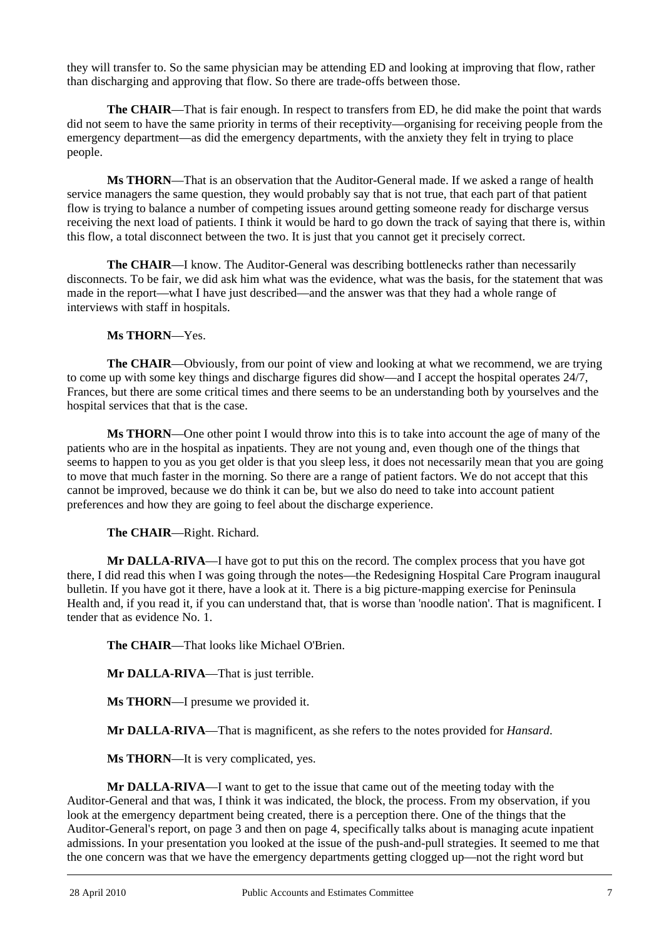they will transfer to. So the same physician may be attending ED and looking at improving that flow, rather than discharging and approving that flow. So there are trade-offs between those.

**The CHAIR**—That is fair enough. In respect to transfers from ED, he did make the point that wards did not seem to have the same priority in terms of their receptivity—organising for receiving people from the emergency department—as did the emergency departments, with the anxiety they felt in trying to place people.

**Ms THORN**—That is an observation that the Auditor-General made. If we asked a range of health service managers the same question, they would probably say that is not true, that each part of that patient flow is trying to balance a number of competing issues around getting someone ready for discharge versus receiving the next load of patients. I think it would be hard to go down the track of saying that there is, within this flow, a total disconnect between the two. It is just that you cannot get it precisely correct.

**The CHAIR**—I know. The Auditor-General was describing bottlenecks rather than necessarily disconnects. To be fair, we did ask him what was the evidence, what was the basis, for the statement that was made in the report—what I have just described—and the answer was that they had a whole range of interviews with staff in hospitals.

## **Ms THORN**—Yes.

**The CHAIR—Obviously, from our point of view and looking at what we recommend, we are trying** to come up with some key things and discharge figures did show—and I accept the hospital operates 24/7, Frances, but there are some critical times and there seems to be an understanding both by yourselves and the hospital services that that is the case.

**Ms THORN**—One other point I would throw into this is to take into account the age of many of the patients who are in the hospital as inpatients. They are not young and, even though one of the things that seems to happen to you as you get older is that you sleep less, it does not necessarily mean that you are going to move that much faster in the morning. So there are a range of patient factors. We do not accept that this cannot be improved, because we do think it can be, but we also do need to take into account patient preferences and how they are going to feel about the discharge experience.

 **The CHAIR**—Right. Richard.

**Mr DALLA-RIVA**—I have got to put this on the record. The complex process that you have got there, I did read this when I was going through the notes—the Redesigning Hospital Care Program inaugural bulletin. If you have got it there, have a look at it. There is a big picture-mapping exercise for Peninsula Health and, if you read it, if you can understand that, that is worse than 'noodle nation'. That is magnificent. I tender that as evidence No. 1.

**The CHAIR**—That looks like Michael O'Brien.

**Mr DALLA-RIVA**—That is just terrible.

**Ms THORN**—I presume we provided it.

**Mr DALLA-RIVA**—That is magnificent, as she refers to the notes provided for *Hansard*.

**Ms THORN**—It is very complicated, yes.

l **Mr DALLA-RIVA**—I want to get to the issue that came out of the meeting today with the Auditor-General and that was, I think it was indicated, the block, the process. From my observation, if you look at the emergency department being created, there is a perception there. One of the things that the Auditor-General's report, on page 3 and then on page 4, specifically talks about is managing acute inpatient admissions. In your presentation you looked at the issue of the push-and-pull strategies. It seemed to me that the one concern was that we have the emergency departments getting clogged up—not the right word but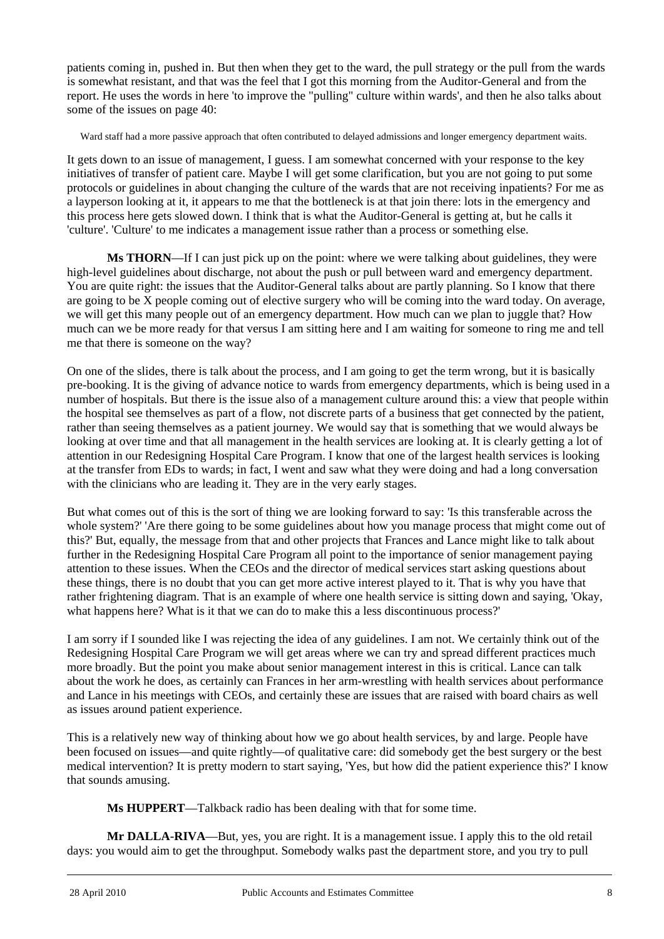patients coming in, pushed in. But then when they get to the ward, the pull strategy or the pull from the wards is somewhat resistant, and that was the feel that I got this morning from the Auditor-General and from the report. He uses the words in here 'to improve the "pulling" culture within wards', and then he also talks about some of the issues on page 40:

Ward staff had a more passive approach that often contributed to delayed admissions and longer emergency department waits.

It gets down to an issue of management, I guess. I am somewhat concerned with your response to the key initiatives of transfer of patient care. Maybe I will get some clarification, but you are not going to put some protocols or guidelines in about changing the culture of the wards that are not receiving inpatients? For me as a layperson looking at it, it appears to me that the bottleneck is at that join there: lots in the emergency and this process here gets slowed down. I think that is what the Auditor-General is getting at, but he calls it 'culture'. 'Culture' to me indicates a management issue rather than a process or something else.

**Ms THORN**—If I can just pick up on the point: where we were talking about guidelines, they were high-level guidelines about discharge, not about the push or pull between ward and emergency department. You are quite right: the issues that the Auditor-General talks about are partly planning. So I know that there are going to be X people coming out of elective surgery who will be coming into the ward today. On average, we will get this many people out of an emergency department. How much can we plan to juggle that? How much can we be more ready for that versus I am sitting here and I am waiting for someone to ring me and tell me that there is someone on the way?

On one of the slides, there is talk about the process, and I am going to get the term wrong, but it is basically pre-booking. It is the giving of advance notice to wards from emergency departments, which is being used in a number of hospitals. But there is the issue also of a management culture around this: a view that people within the hospital see themselves as part of a flow, not discrete parts of a business that get connected by the patient, rather than seeing themselves as a patient journey. We would say that is something that we would always be looking at over time and that all management in the health services are looking at. It is clearly getting a lot of attention in our Redesigning Hospital Care Program. I know that one of the largest health services is looking at the transfer from EDs to wards; in fact, I went and saw what they were doing and had a long conversation with the clinicians who are leading it. They are in the very early stages.

But what comes out of this is the sort of thing we are looking forward to say: 'Is this transferable across the whole system?' 'Are there going to be some guidelines about how you manage process that might come out of this?' But, equally, the message from that and other projects that Frances and Lance might like to talk about further in the Redesigning Hospital Care Program all point to the importance of senior management paying attention to these issues. When the CEOs and the director of medical services start asking questions about these things, there is no doubt that you can get more active interest played to it. That is why you have that rather frightening diagram. That is an example of where one health service is sitting down and saying, 'Okay, what happens here? What is it that we can do to make this a less discontinuous process?'

I am sorry if I sounded like I was rejecting the idea of any guidelines. I am not. We certainly think out of the Redesigning Hospital Care Program we will get areas where we can try and spread different practices much more broadly. But the point you make about senior management interest in this is critical. Lance can talk about the work he does, as certainly can Frances in her arm-wrestling with health services about performance and Lance in his meetings with CEOs, and certainly these are issues that are raised with board chairs as well as issues around patient experience.

This is a relatively new way of thinking about how we go about health services, by and large. People have been focused on issues—and quite rightly—of qualitative care: did somebody get the best surgery or the best medical intervention? It is pretty modern to start saying, 'Yes, but how did the patient experience this?' I know that sounds amusing.

**Ms HUPPERT**—Talkback radio has been dealing with that for some time.

**Mr DALLA-RIVA**—But, yes, you are right. It is a management issue. I apply this to the old retail days: you would aim to get the throughput. Somebody walks past the department store, and you try to pull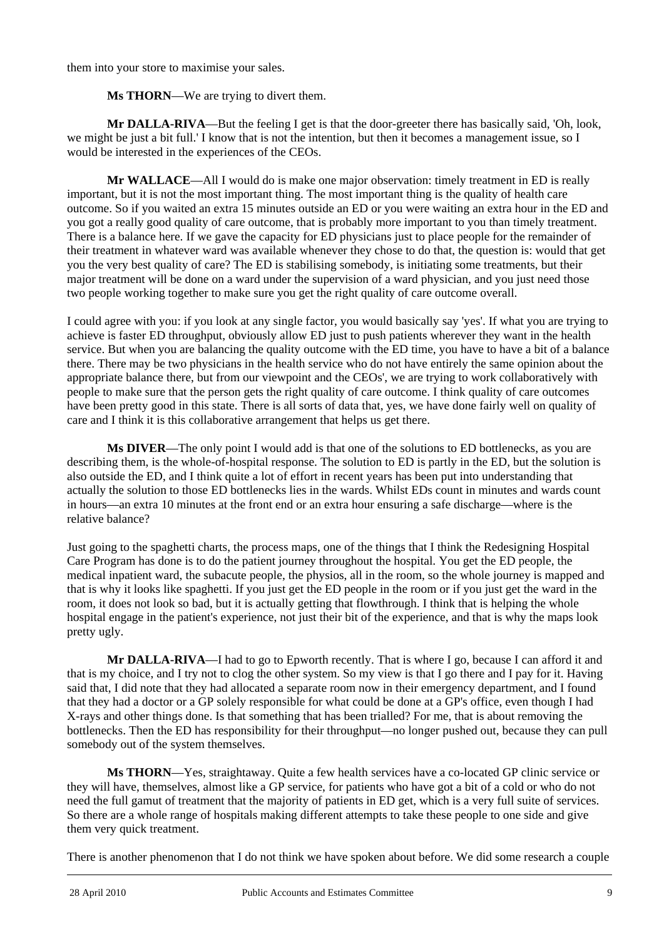them into your store to maximise your sales.

**Ms THORN**—We are trying to divert them.

**Mr DALLA-RIVA**—But the feeling I get is that the door-greeter there has basically said, 'Oh, look, we might be just a bit full.' I know that is not the intention, but then it becomes a management issue, so I would be interested in the experiences of the CEOs.

**Mr WALLACE**—All I would do is make one major observation: timely treatment in ED is really important, but it is not the most important thing. The most important thing is the quality of health care outcome. So if you waited an extra 15 minutes outside an ED or you were waiting an extra hour in the ED and you got a really good quality of care outcome, that is probably more important to you than timely treatment. There is a balance here. If we gave the capacity for ED physicians just to place people for the remainder of their treatment in whatever ward was available whenever they chose to do that, the question is: would that get you the very best quality of care? The ED is stabilising somebody, is initiating some treatments, but their major treatment will be done on a ward under the supervision of a ward physician, and you just need those two people working together to make sure you get the right quality of care outcome overall.

I could agree with you: if you look at any single factor, you would basically say 'yes'. If what you are trying to achieve is faster ED throughput, obviously allow ED just to push patients wherever they want in the health service. But when you are balancing the quality outcome with the ED time, you have to have a bit of a balance there. There may be two physicians in the health service who do not have entirely the same opinion about the appropriate balance there, but from our viewpoint and the CEOs', we are trying to work collaboratively with people to make sure that the person gets the right quality of care outcome. I think quality of care outcomes have been pretty good in this state. There is all sorts of data that, yes, we have done fairly well on quality of care and I think it is this collaborative arrangement that helps us get there.

**Ms DIVER**—The only point I would add is that one of the solutions to ED bottlenecks, as you are describing them, is the whole-of-hospital response. The solution to ED is partly in the ED, but the solution is also outside the ED, and I think quite a lot of effort in recent years has been put into understanding that actually the solution to those ED bottlenecks lies in the wards. Whilst EDs count in minutes and wards count in hours—an extra 10 minutes at the front end or an extra hour ensuring a safe discharge—where is the relative balance?

Just going to the spaghetti charts, the process maps, one of the things that I think the Redesigning Hospital Care Program has done is to do the patient journey throughout the hospital. You get the ED people, the medical inpatient ward, the subacute people, the physios, all in the room, so the whole journey is mapped and that is why it looks like spaghetti. If you just get the ED people in the room or if you just get the ward in the room, it does not look so bad, but it is actually getting that flowthrough. I think that is helping the whole hospital engage in the patient's experience, not just their bit of the experience, and that is why the maps look pretty ugly.

**Mr DALLA-RIVA**—I had to go to Epworth recently. That is where I go, because I can afford it and that is my choice, and I try not to clog the other system. So my view is that I go there and I pay for it. Having said that, I did note that they had allocated a separate room now in their emergency department, and I found that they had a doctor or a GP solely responsible for what could be done at a GP's office, even though I had X-rays and other things done. Is that something that has been trialled? For me, that is about removing the bottlenecks. Then the ED has responsibility for their throughput—no longer pushed out, because they can pull somebody out of the system themselves.

**Ms THORN**—Yes, straightaway. Quite a few health services have a co-located GP clinic service or they will have, themselves, almost like a GP service, for patients who have got a bit of a cold or who do not need the full gamut of treatment that the majority of patients in ED get, which is a very full suite of services. So there are a whole range of hospitals making different attempts to take these people to one side and give them very quick treatment.

l There is another phenomenon that I do not think we have spoken about before. We did some research a couple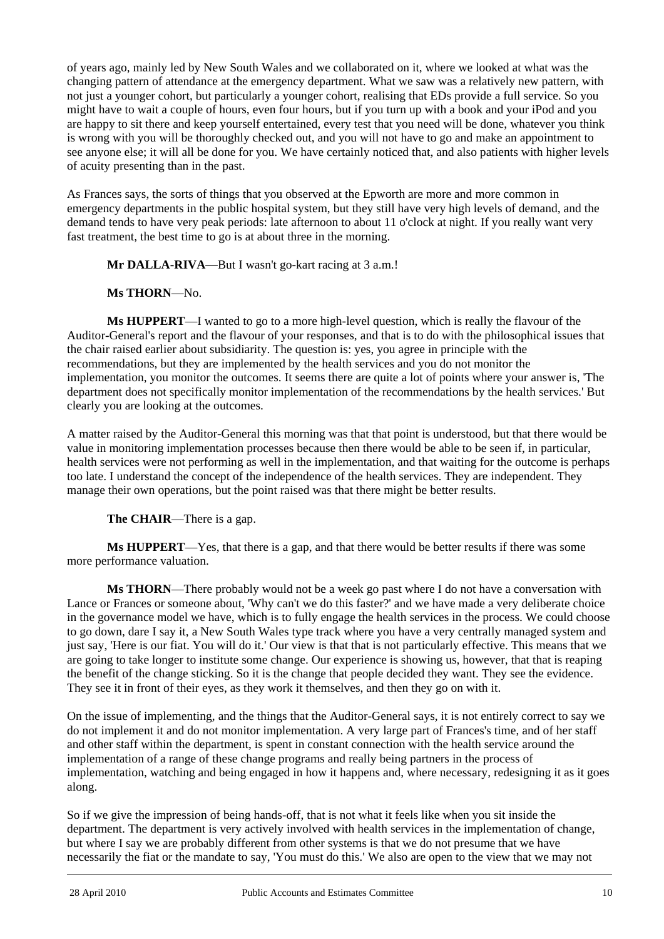of years ago, mainly led by New South Wales and we collaborated on it, where we looked at what was the changing pattern of attendance at the emergency department. What we saw was a relatively new pattern, with not just a younger cohort, but particularly a younger cohort, realising that EDs provide a full service. So you might have to wait a couple of hours, even four hours, but if you turn up with a book and your iPod and you are happy to sit there and keep yourself entertained, every test that you need will be done, whatever you think is wrong with you will be thoroughly checked out, and you will not have to go and make an appointment to see anyone else; it will all be done for you. We have certainly noticed that, and also patients with higher levels of acuity presenting than in the past.

As Frances says, the sorts of things that you observed at the Epworth are more and more common in emergency departments in the public hospital system, but they still have very high levels of demand, and the demand tends to have very peak periods: late afternoon to about 11 o'clock at night. If you really want very fast treatment, the best time to go is at about three in the morning.

**Mr DALLA-RIVA—But I wasn't go-kart racing at 3 a.m.!** 

# **Ms THORN**—No.

**Ms HUPPERT**—I wanted to go to a more high-level question, which is really the flavour of the Auditor-General's report and the flavour of your responses, and that is to do with the philosophical issues that the chair raised earlier about subsidiarity. The question is: yes, you agree in principle with the recommendations, but they are implemented by the health services and you do not monitor the implementation, you monitor the outcomes. It seems there are quite a lot of points where your answer is, 'The department does not specifically monitor implementation of the recommendations by the health services.' But clearly you are looking at the outcomes.

A matter raised by the Auditor-General this morning was that that point is understood, but that there would be value in monitoring implementation processes because then there would be able to be seen if, in particular, health services were not performing as well in the implementation, and that waiting for the outcome is perhaps too late. I understand the concept of the independence of the health services. They are independent. They manage their own operations, but the point raised was that there might be better results.

**The CHAIR**—There is a gap.

**Ms HUPPERT**—Yes, that there is a gap, and that there would be better results if there was some more performance valuation.

**Ms THORN**—There probably would not be a week go past where I do not have a conversation with Lance or Frances or someone about, 'Why can't we do this faster?' and we have made a very deliberate choice in the governance model we have, which is to fully engage the health services in the process. We could choose to go down, dare I say it, a New South Wales type track where you have a very centrally managed system and just say, 'Here is our fiat. You will do it.' Our view is that that is not particularly effective. This means that we are going to take longer to institute some change. Our experience is showing us, however, that that is reaping the benefit of the change sticking. So it is the change that people decided they want. They see the evidence. They see it in front of their eyes, as they work it themselves, and then they go on with it.

On the issue of implementing, and the things that the Auditor-General says, it is not entirely correct to say we do not implement it and do not monitor implementation. A very large part of Frances's time, and of her staff and other staff within the department, is spent in constant connection with the health service around the implementation of a range of these change programs and really being partners in the process of implementation, watching and being engaged in how it happens and, where necessary, redesigning it as it goes along.

l So if we give the impression of being hands-off, that is not what it feels like when you sit inside the department. The department is very actively involved with health services in the implementation of change, but where I say we are probably different from other systems is that we do not presume that we have necessarily the fiat or the mandate to say, 'You must do this.' We also are open to the view that we may not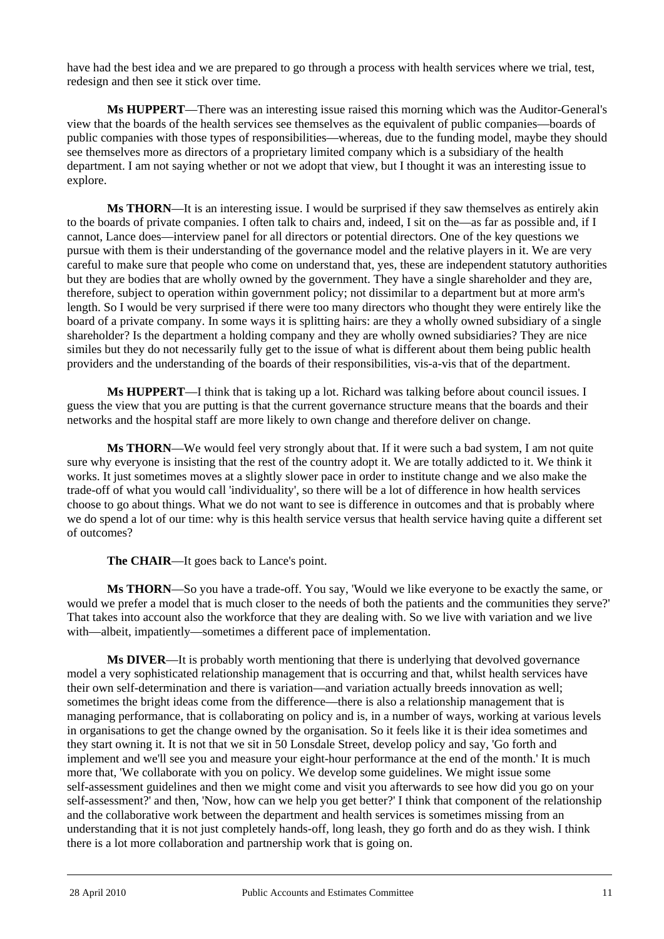have had the best idea and we are prepared to go through a process with health services where we trial, test, redesign and then see it stick over time.

**Ms HUPPERT**—There was an interesting issue raised this morning which was the Auditor-General's view that the boards of the health services see themselves as the equivalent of public companies—boards of public companies with those types of responsibilities—whereas, due to the funding model, maybe they should see themselves more as directors of a proprietary limited company which is a subsidiary of the health department. I am not saying whether or not we adopt that view, but I thought it was an interesting issue to explore.

**Ms THORN**—It is an interesting issue. I would be surprised if they saw themselves as entirely akin to the boards of private companies. I often talk to chairs and, indeed, I sit on the—as far as possible and, if I cannot, Lance does—interview panel for all directors or potential directors. One of the key questions we pursue with them is their understanding of the governance model and the relative players in it. We are very careful to make sure that people who come on understand that, yes, these are independent statutory authorities but they are bodies that are wholly owned by the government. They have a single shareholder and they are, therefore, subject to operation within government policy; not dissimilar to a department but at more arm's length. So I would be very surprised if there were too many directors who thought they were entirely like the board of a private company. In some ways it is splitting hairs: are they a wholly owned subsidiary of a single shareholder? Is the department a holding company and they are wholly owned subsidiaries? They are nice similes but they do not necessarily fully get to the issue of what is different about them being public health providers and the understanding of the boards of their responsibilities, vis-a-vis that of the department.

**Ms HUPPERT**—I think that is taking up a lot. Richard was talking before about council issues. I guess the view that you are putting is that the current governance structure means that the boards and their networks and the hospital staff are more likely to own change and therefore deliver on change.

**Ms THORN**—We would feel very strongly about that. If it were such a bad system, I am not quite sure why everyone is insisting that the rest of the country adopt it. We are totally addicted to it. We think it works. It just sometimes moves at a slightly slower pace in order to institute change and we also make the trade-off of what you would call 'individuality', so there will be a lot of difference in how health services choose to go about things. What we do not want to see is difference in outcomes and that is probably where we do spend a lot of our time: why is this health service versus that health service having quite a different set of outcomes?

**The CHAIR**—It goes back to Lance's point.

**Ms THORN**—So you have a trade-off. You say, 'Would we like everyone to be exactly the same, or would we prefer a model that is much closer to the needs of both the patients and the communities they serve?' That takes into account also the workforce that they are dealing with. So we live with variation and we live with—albeit, impatiently—sometimes a different pace of implementation.

**Ms DIVER**—It is probably worth mentioning that there is underlying that devolved governance model a very sophisticated relationship management that is occurring and that, whilst health services have their own self-determination and there is variation—and variation actually breeds innovation as well; sometimes the bright ideas come from the difference—there is also a relationship management that is managing performance, that is collaborating on policy and is, in a number of ways, working at various levels in organisations to get the change owned by the organisation. So it feels like it is their idea sometimes and they start owning it. It is not that we sit in 50 Lonsdale Street, develop policy and say, 'Go forth and implement and we'll see you and measure your eight-hour performance at the end of the month.' It is much more that, 'We collaborate with you on policy. We develop some guidelines. We might issue some self-assessment guidelines and then we might come and visit you afterwards to see how did you go on your self-assessment?' and then, 'Now, how can we help you get better?' I think that component of the relationship and the collaborative work between the department and health services is sometimes missing from an understanding that it is not just completely hands-off, long leash, they go forth and do as they wish. I think there is a lot more collaboration and partnership work that is going on.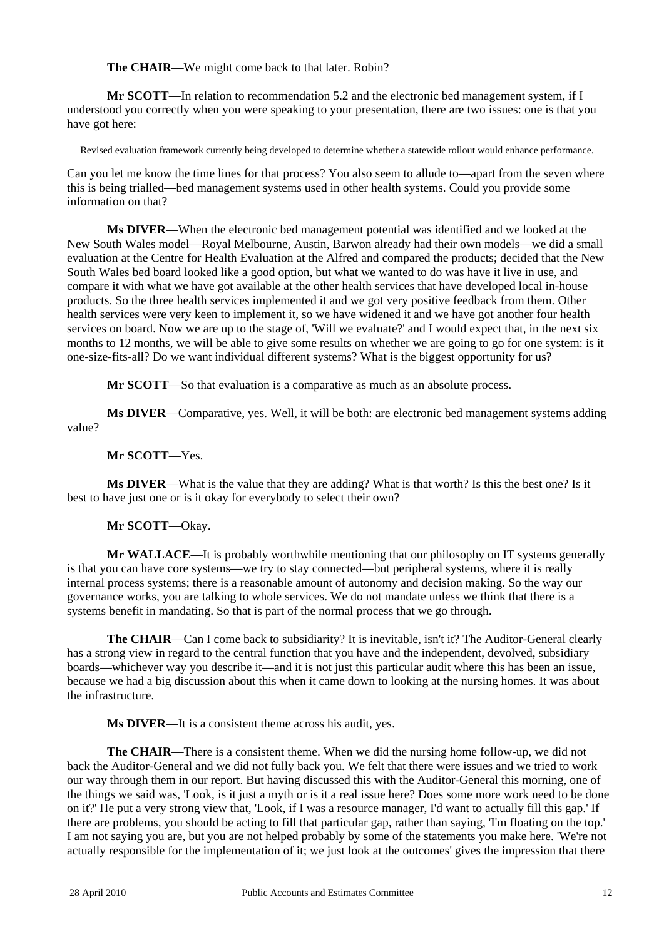**The CHAIR**—We might come back to that later. Robin?

**Mr SCOTT**—In relation to recommendation 5.2 and the electronic bed management system, if I understood you correctly when you were speaking to your presentation, there are two issues: one is that you have got here:

Revised evaluation framework currently being developed to determine whether a statewide rollout would enhance performance.

Can you let me know the time lines for that process? You also seem to allude to—apart from the seven where this is being trialled—bed management systems used in other health systems. Could you provide some information on that?

**Ms DIVER**—When the electronic bed management potential was identified and we looked at the New South Wales model—Royal Melbourne, Austin, Barwon already had their own models—we did a small evaluation at the Centre for Health Evaluation at the Alfred and compared the products; decided that the New South Wales bed board looked like a good option, but what we wanted to do was have it live in use, and compare it with what we have got available at the other health services that have developed local in-house products. So the three health services implemented it and we got very positive feedback from them. Other health services were very keen to implement it, so we have widened it and we have got another four health services on board. Now we are up to the stage of, 'Will we evaluate?' and I would expect that, in the next six months to 12 months, we will be able to give some results on whether we are going to go for one system: is it one-size-fits-all? Do we want individual different systems? What is the biggest opportunity for us?

**Mr SCOTT**—So that evaluation is a comparative as much as an absolute process.

**Ms DIVER**—Comparative, yes. Well, it will be both: are electronic bed management systems adding value?

# **Mr SCOTT**—Yes.

**Ms DIVER**—What is the value that they are adding? What is that worth? Is this the best one? Is it best to have just one or is it okay for everybody to select their own?

# **Mr SCOTT**—Okay.

**Mr WALLACE**—It is probably worthwhile mentioning that our philosophy on IT systems generally is that you can have core systems—we try to stay connected—but peripheral systems, where it is really internal process systems; there is a reasonable amount of autonomy and decision making. So the way our governance works, you are talking to whole services. We do not mandate unless we think that there is a systems benefit in mandating. So that is part of the normal process that we go through.

**The CHAIR**—Can I come back to subsidiarity? It is inevitable, isn't it? The Auditor-General clearly has a strong view in regard to the central function that you have and the independent, devolved, subsidiary boards—whichever way you describe it—and it is not just this particular audit where this has been an issue, because we had a big discussion about this when it came down to looking at the nursing homes. It was about the infrastructure.

**Ms DIVER**—It is a consistent theme across his audit, yes.

**The CHAIR**—There is a consistent theme. When we did the nursing home follow-up, we did not back the Auditor-General and we did not fully back you. We felt that there were issues and we tried to work our way through them in our report. But having discussed this with the Auditor-General this morning, one of the things we said was, 'Look, is it just a myth or is it a real issue here? Does some more work need to be done on it?' He put a very strong view that, 'Look, if I was a resource manager, I'd want to actually fill this gap.' If there are problems, you should be acting to fill that particular gap, rather than saying, 'I'm floating on the top.' I am not saying you are, but you are not helped probably by some of the statements you make here. 'We're not actually responsible for the implementation of it; we just look at the outcomes' gives the impression that there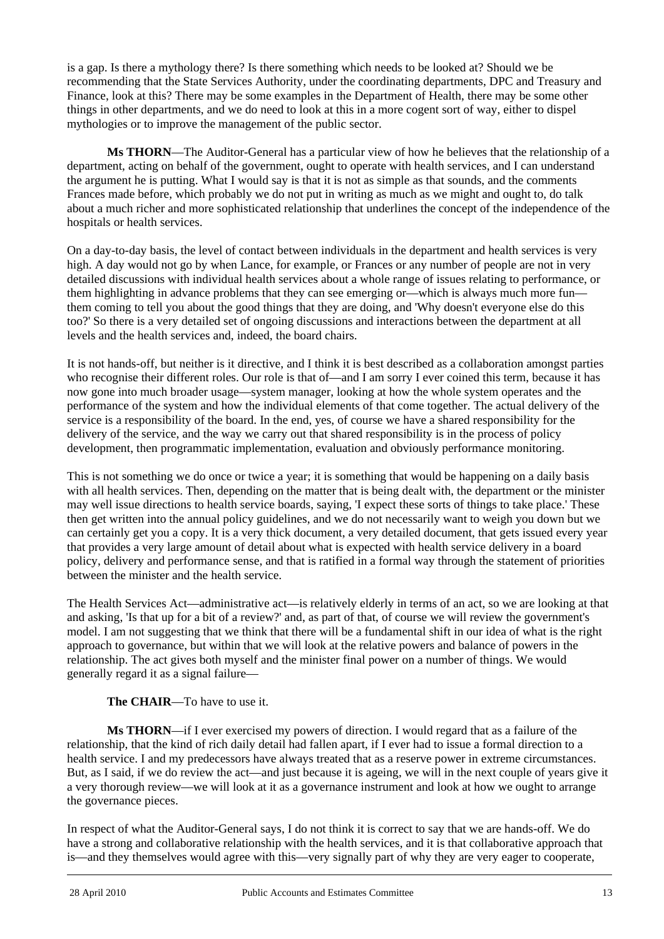is a gap. Is there a mythology there? Is there something which needs to be looked at? Should we be recommending that the State Services Authority, under the coordinating departments, DPC and Treasury and Finance, look at this? There may be some examples in the Department of Health, there may be some other things in other departments, and we do need to look at this in a more cogent sort of way, either to dispel mythologies or to improve the management of the public sector.

**Ms THORN**—The Auditor-General has a particular view of how he believes that the relationship of a department, acting on behalf of the government, ought to operate with health services, and I can understand the argument he is putting. What I would say is that it is not as simple as that sounds, and the comments Frances made before, which probably we do not put in writing as much as we might and ought to, do talk about a much richer and more sophisticated relationship that underlines the concept of the independence of the hospitals or health services.

On a day-to-day basis, the level of contact between individuals in the department and health services is very high. A day would not go by when Lance, for example, or Frances or any number of people are not in very detailed discussions with individual health services about a whole range of issues relating to performance, or them highlighting in advance problems that they can see emerging or—which is always much more fun them coming to tell you about the good things that they are doing, and 'Why doesn't everyone else do this too?' So there is a very detailed set of ongoing discussions and interactions between the department at all levels and the health services and, indeed, the board chairs.

It is not hands-off, but neither is it directive, and I think it is best described as a collaboration amongst parties who recognise their different roles. Our role is that of—and I am sorry I ever coined this term, because it has now gone into much broader usage—system manager, looking at how the whole system operates and the performance of the system and how the individual elements of that come together. The actual delivery of the service is a responsibility of the board. In the end, yes, of course we have a shared responsibility for the delivery of the service, and the way we carry out that shared responsibility is in the process of policy development, then programmatic implementation, evaluation and obviously performance monitoring.

This is not something we do once or twice a year; it is something that would be happening on a daily basis with all health services. Then, depending on the matter that is being dealt with, the department or the minister may well issue directions to health service boards, saying, 'I expect these sorts of things to take place.' These then get written into the annual policy guidelines, and we do not necessarily want to weigh you down but we can certainly get you a copy. It is a very thick document, a very detailed document, that gets issued every year that provides a very large amount of detail about what is expected with health service delivery in a board policy, delivery and performance sense, and that is ratified in a formal way through the statement of priorities between the minister and the health service.

The Health Services Act—administrative act—is relatively elderly in terms of an act, so we are looking at that and asking, 'Is that up for a bit of a review?' and, as part of that, of course we will review the government's model. I am not suggesting that we think that there will be a fundamental shift in our idea of what is the right approach to governance, but within that we will look at the relative powers and balance of powers in the relationship. The act gives both myself and the minister final power on a number of things. We would generally regard it as a signal failure—

# **The CHAIR**—To have to use it.

**Ms THORN**—if I ever exercised my powers of direction. I would regard that as a failure of the relationship, that the kind of rich daily detail had fallen apart, if I ever had to issue a formal direction to a health service. I and my predecessors have always treated that as a reserve power in extreme circumstances. But, as I said, if we do review the act—and just because it is ageing, we will in the next couple of years give it a very thorough review—we will look at it as a governance instrument and look at how we ought to arrange the governance pieces.

l In respect of what the Auditor-General says, I do not think it is correct to say that we are hands-off. We do have a strong and collaborative relationship with the health services, and it is that collaborative approach that is—and they themselves would agree with this—very signally part of why they are very eager to cooperate,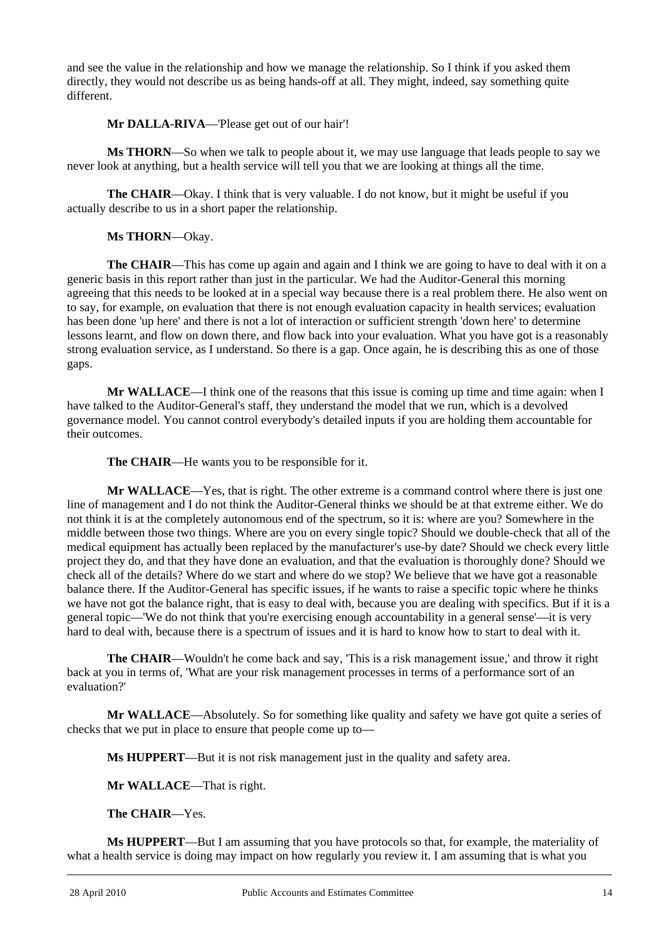and see the value in the relationship and how we manage the relationship. So I think if you asked them directly, they would not describe us as being hands-off at all. They might, indeed, say something quite different.

**Mr DALLA-RIVA**—'Please get out of our hair'!

**Ms THORN**—So when we talk to people about it, we may use language that leads people to say we never look at anything, but a health service will tell you that we are looking at things all the time.

**The CHAIR**—Okay. I think that is very valuable. I do not know, but it might be useful if you actually describe to us in a short paper the relationship.

**Ms THORN**—Okay.

**The CHAIR—This has come up again and again and I think we are going to have to deal with it on a** generic basis in this report rather than just in the particular. We had the Auditor-General this morning agreeing that this needs to be looked at in a special way because there is a real problem there. He also went on to say, for example, on evaluation that there is not enough evaluation capacity in health services; evaluation has been done 'up here' and there is not a lot of interaction or sufficient strength 'down here' to determine lessons learnt, and flow on down there, and flow back into your evaluation. What you have got is a reasonably strong evaluation service, as I understand. So there is a gap. Once again, he is describing this as one of those gaps.

**Mr WALLACE**—I think one of the reasons that this issue is coming up time and time again: when I have talked to the Auditor-General's staff, they understand the model that we run, which is a devolved governance model. You cannot control everybody's detailed inputs if you are holding them accountable for their outcomes.

**The CHAIR**—He wants you to be responsible for it.

**Mr WALLACE**—Yes, that is right. The other extreme is a command control where there is just one line of management and I do not think the Auditor-General thinks we should be at that extreme either. We do not think it is at the completely autonomous end of the spectrum, so it is: where are you? Somewhere in the middle between those two things. Where are you on every single topic? Should we double-check that all of the medical equipment has actually been replaced by the manufacturer's use-by date? Should we check every little project they do, and that they have done an evaluation, and that the evaluation is thoroughly done? Should we check all of the details? Where do we start and where do we stop? We believe that we have got a reasonable balance there. If the Auditor-General has specific issues, if he wants to raise a specific topic where he thinks we have not got the balance right, that is easy to deal with, because you are dealing with specifics. But if it is a general topic—'We do not think that you're exercising enough accountability in a general sense'—it is very hard to deal with, because there is a spectrum of issues and it is hard to know how to start to deal with it.

**The CHAIR**—Wouldn't he come back and say, 'This is a risk management issue,' and throw it right back at you in terms of, 'What are your risk management processes in terms of a performance sort of an evaluation?'

**Mr WALLACE**—Absolutely. So for something like quality and safety we have got quite a series of checks that we put in place to ensure that people come up to—

**Ms HUPPERT**—But it is not risk management just in the quality and safety area.

**Mr WALLACE**—That is right.

**The CHAIR**—Yes.

l **Ms HUPPERT**—But I am assuming that you have protocols so that, for example, the materiality of what a health service is doing may impact on how regularly you review it. I am assuming that is what you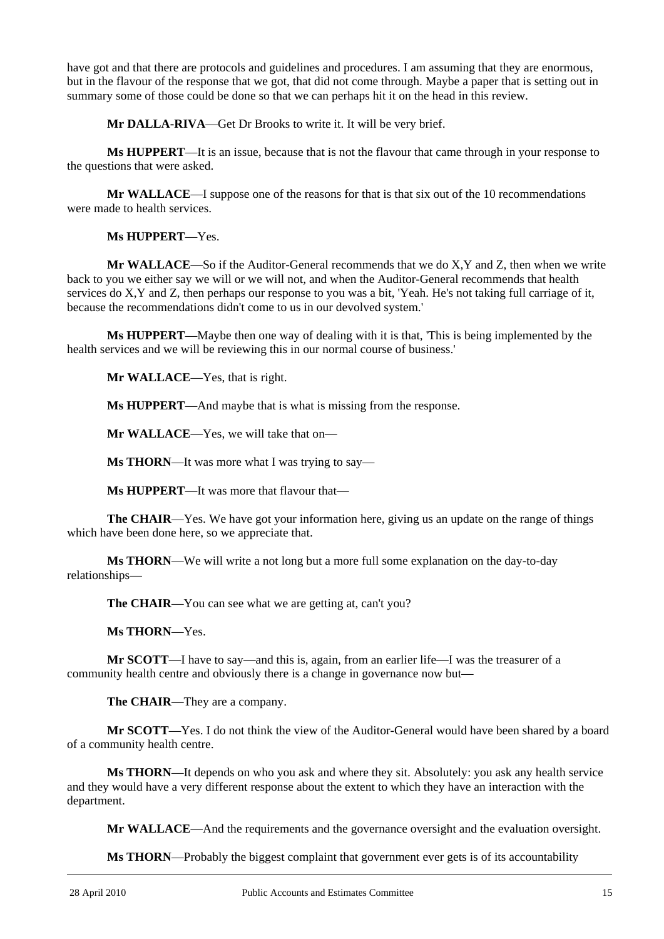have got and that there are protocols and guidelines and procedures. I am assuming that they are enormous, but in the flavour of the response that we got, that did not come through. Maybe a paper that is setting out in summary some of those could be done so that we can perhaps hit it on the head in this review.

**Mr DALLA-RIVA**—Get Dr Brooks to write it. It will be very brief.

 **Ms HUPPERT**—It is an issue, because that is not the flavour that came through in your response to the questions that were asked.

**Mr WALLACE**—I suppose one of the reasons for that is that six out of the 10 recommendations were made to health services.

**Ms HUPPERT**—Yes.

**Mr WALLACE**—So if the Auditor-General recommends that we do X,Y and Z, then when we write back to you we either say we will or we will not, and when the Auditor-General recommends that health services do X,Y and Z, then perhaps our response to you was a bit, 'Yeah. He's not taking full carriage of it, because the recommendations didn't come to us in our devolved system.'

**Ms HUPPERT**—Maybe then one way of dealing with it is that, 'This is being implemented by the health services and we will be reviewing this in our normal course of business.'

**Mr WALLACE**—Yes, that is right.

**Ms HUPPERT**—And maybe that is what is missing from the response.

**Mr WALLACE**—Yes, we will take that on—

**Ms THORN**—It was more what I was trying to say—

**Ms HUPPERT**—It was more that flavour that—

**The CHAIR**—Yes. We have got your information here, giving us an update on the range of things which have been done here, so we appreciate that.

**Ms THORN**—We will write a not long but a more full some explanation on the day-to-day relationships—

The CHAIR—You can see what we are getting at, can't you?

**Ms THORN**—Yes.

**Mr SCOTT**—I have to say—and this is, again, from an earlier life—I was the treasurer of a community health centre and obviously there is a change in governance now but—

**The CHAIR**—They are a company.

**Mr SCOTT**—Yes. I do not think the view of the Auditor-General would have been shared by a board of a community health centre.

**Ms THORN**—It depends on who you ask and where they sit. Absolutely: you ask any health service and they would have a very different response about the extent to which they have an interaction with the department.

**Mr WALLACE**—And the requirements and the governance oversight and the evaluation oversight.

**Ms THORN**—Probably the biggest complaint that government ever gets is of its accountability